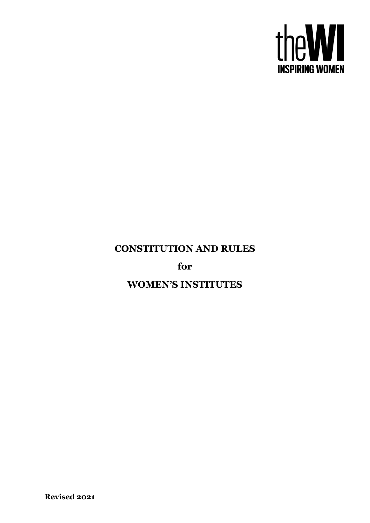

# **CONSTITUTION AND RULES**

**for**

**WOMEN'S INSTITUTES**

**Revised 2021**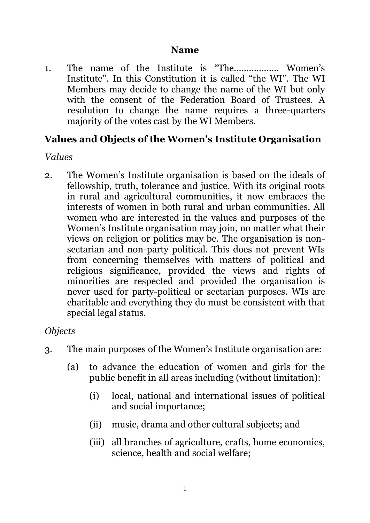#### **Name**

1. The name of the Institute is "The……………… Women's Institute". In this Constitution it is called "the WI". The WI Members may decide to change the name of the WI but only with the consent of the Federation Board of Trustees. A resolution to change the name requires a three-quarters majority of the votes cast by the WI Members.

## **Values and Objects of the Women's Institute Organisation**

#### *Values*

2. The Women's Institute organisation is based on the ideals of fellowship, truth, tolerance and justice. With its original roots in rural and agricultural communities, it now embraces the interests of women in both rural and urban communities. All women who are interested in the values and purposes of the Women's Institute organisation may join, no matter what their views on religion or politics may be. The organisation is nonsectarian and non-party political. This does not prevent WIs from concerning themselves with matters of political and religious significance, provided the views and rights of minorities are respected and provided the organisation is never used for party-political or sectarian purposes. WIs are charitable and everything they do must be consistent with that special legal status.

#### *Objects*

- <span id="page-1-0"></span>3. The main purposes of the Women's Institute organisation are:
	- (a) to advance the education of women and girls for the public benefit in all areas including (without limitation):
		- (i) local, national and international issues of political and social importance;
		- (ii) music, drama and other cultural subjects; and
		- (iii) all branches of agriculture, crafts, home economics, science, health and social welfare;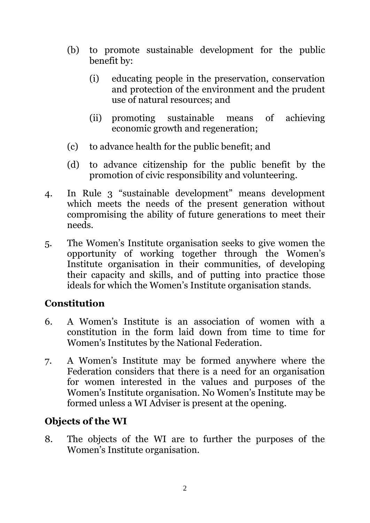- (b) to promote sustainable development for the public benefit by:
	- (i) educating people in the preservation, conservation and protection of the environment and the prudent use of natural resources; and
	- (ii) promoting sustainable means of achieving economic growth and regeneration;
- (c) to advance health for the public benefit; and
- (d) to advance citizenship for the public benefit by the promotion of civic responsibility and volunteering.
- 4. In Rule [3](#page-1-0) "sustainable development" means development which meets the needs of the present generation without compromising the ability of future generations to meet their needs.
- 5. The Women's Institute organisation seeks to give women the opportunity of working together through the Women's Institute organisation in their communities, of developing their capacity and skills, and of putting into practice those ideals for which the Women's Institute organisation stands.

# **Constitution**

- <span id="page-2-0"></span>6. A Women's Institute is an association of women with a constitution in the form laid down from time to time for Women's Institutes by the National Federation.
- 7. A Women's Institute may be formed anywhere where the Federation considers that there is a need for an organisation for women interested in the values and purposes of the Women's Institute organisation. No Women's Institute may be formed unless a WI Adviser is present at the opening.

## **Objects of the WI**

8. The objects of the WI are to further the purposes of the Women's Institute organisation.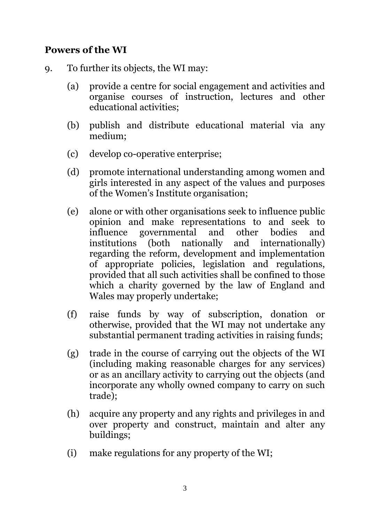# **Powers of the WI**

- 9. To further its objects, the WI may:
	- (a) provide a centre for social engagement and activities and organise courses of instruction, lectures and other educational activities;
	- (b) publish and distribute educational material via any medium;
	- (c) develop co-operative enterprise;
	- (d) promote international understanding among women and girls interested in any aspect of the values and purposes of the Women's Institute organisation;
	- (e) alone or with other organisations seek to influence public opinion and make representations to and seek to influence governmental and other bodies and institutions (both nationally and internationally) regarding the reform, development and implementation of appropriate policies, legislation and regulations, provided that all such activities shall be confined to those which a charity governed by the law of England and Wales may properly undertake;
	- (f) raise funds by way of subscription, donation or otherwise, provided that the WI may not undertake any substantial permanent trading activities in raising funds;
	- (g) trade in the course of carrying out the objects of the WI (including making reasonable charges for any services) or as an ancillary activity to carrying out the objects (and incorporate any wholly owned company to carry on such trade);
	- (h) acquire any property and any rights and privileges in and over property and construct, maintain and alter any buildings;
	- (i) make regulations for any property of the WI;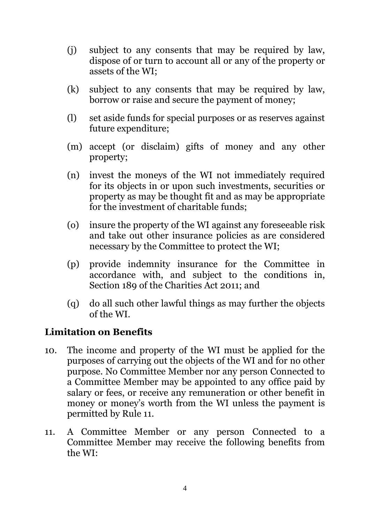- (j) subject to any consents that may be required by law, dispose of or turn to account all or any of the property or assets of the WI;
- (k) subject to any consents that may be required by law, borrow or raise and secure the payment of money;
- (l) set aside funds for special purposes or as reserves against future expenditure;
- (m) accept (or disclaim) gifts of money and any other property;
- (n) invest the moneys of the WI not immediately required for its objects in or upon such investments, securities or property as may be thought fit and as may be appropriate for the investment of charitable funds;
- (o) insure the property of the WI against any foreseeable risk and take out other insurance policies as are considered necessary by the Committee to protect the WI;
- <span id="page-4-1"></span>(p) provide indemnity insurance for the Committee in accordance with, and subject to the conditions in, Section 189 of the Charities Act 2011; and
- (q) do all such other lawful things as may further the objects of the WI.

## **Limitation on Benefits**

- 10. The income and property of the WI must be applied for the purposes of carrying out the objects of the WI and for no other purpose. No Committee Member nor any person Connected to a Committee Member may be appointed to any office paid by salary or fees, or receive any remuneration or other benefit in money or money's worth from the WI unless the payment is permitted by Rule [11.](#page-4-0)
- <span id="page-4-0"></span>11. A Committee Member or any person Connected to a Committee Member may receive the following benefits from the WI: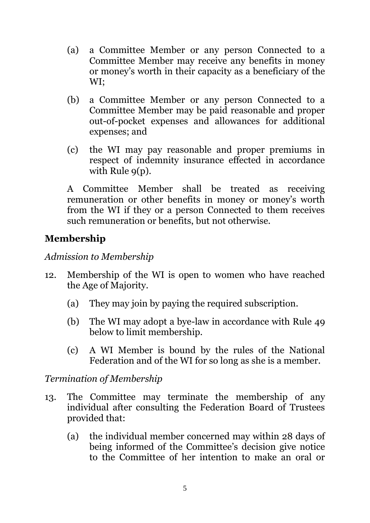- (a) a Committee Member or any person Connected to a Committee Member may receive any benefits in money or money's worth in their capacity as a beneficiary of the WI;
- (b) a Committee Member or any person Connected to a Committee Member may be paid reasonable and proper out-of-pocket expenses and allowances for additional expenses; and
- (c) the WI may pay reasonable and proper premiums in respect of indemnity insurance effected in accordance with Rule  $q(p)$ .

A Committee Member shall be treated as receiving remuneration or other benefits in money or money's worth from the WI if they or a person Connected to them receives such remuneration or benefits, but not otherwise.

# **Membership**

#### *Admission to Membership*

- <span id="page-5-1"></span>12. Membership of the WI is open to women who have reached the Age of Majority.
	- (a) They may join by paying the required subscription.
	- (b) The WI may adopt a bye-law in accordance with Rule [49](#page-15-0) below to limit membership.
	- (c) A WI Member is bound by the rules of the National Federation and of the WI for so long as she is a member.

## *Termination of Membership*

- <span id="page-5-0"></span>13. The Committee may terminate the membership of any individual after consulting the Federation Board of Trustees provided that:
	- (a) the individual member concerned may within 28 days of being informed of the Committee's decision give notice to the Committee of her intention to make an oral or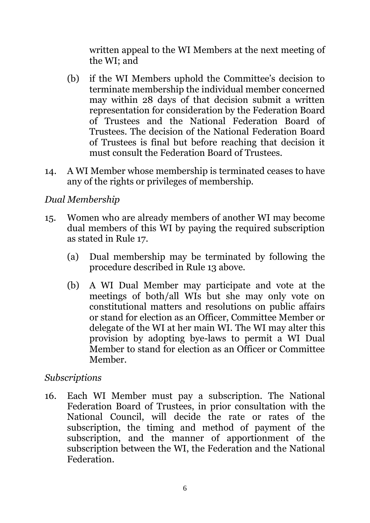written appeal to the WI Members at the next meeting of the WI; and

- (b) if the WI Members uphold the Committee's decision to terminate membership the individual member concerned may within 28 days of that decision submit a written representation for consideration by the Federation Board of Trustees and the National Federation Board of Trustees. The decision of the National Federation Board of Trustees is final but before reaching that decision it must consult the Federation Board of Trustees.
- 14. A WI Member whose membership is terminated ceases to have any of the rights or privileges of membership.

# *Dual Membership*

- <span id="page-6-0"></span>15. Women who are already members of another WI may become dual members of this WI by paying the required subscription as stated in Rule [17.](#page-7-0)
	- (a) Dual membership may be terminated by following the procedure described in Rule [13](#page-5-0) above.
	- (b) A WI Dual Member may participate and vote at the meetings of both/all WIs but she may only vote on constitutional matters and resolutions on public affairs or stand for election as an Officer, Committee Member or delegate of the WI at her main WI. The WI may alter this provision by adopting bye-laws to permit a WI Dual Member to stand for election as an Officer or Committee Member.

## *Subscriptions*

16. Each WI Member must pay a subscription. The National Federation Board of Trustees, in prior consultation with the National Council, will decide the rate or rates of the subscription, the timing and method of payment of the subscription, and the manner of apportionment of the subscription between the WI, the Federation and the National Federation.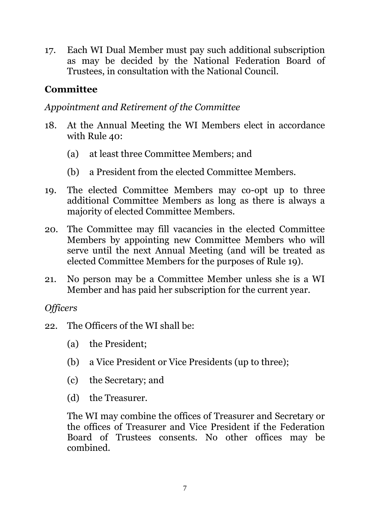<span id="page-7-0"></span>17. Each WI Dual Member must pay such additional subscription as may be decided by the National Federation Board of Trustees, in consultation with the National Council.

# **Committee**

# *Appointment and Retirement of the Committee*

- <span id="page-7-2"></span>18. At the Annual Meeting the WI Members elect in accordance with Rule [40:](#page-13-0)
	- (a) at least three Committee Members; and
	- (b) a President from the elected Committee Members.
- <span id="page-7-1"></span>19. The elected Committee Members may co-opt up to three additional Committee Members as long as there is always a majority of elected Committee Members.
- 20. The Committee may fill vacancies in the elected Committee Members by appointing new Committee Members who will serve until the next Annual Meeting (and will be treated as elected Committee Members for the purposes of Rule [19\)](#page-7-1).
- 21. No person may be a Committee Member unless she is a WI Member and has paid her subscription for the current year.

# *Officers*

- 22. The Officers of the WI shall be:
	- (a) the President;
	- (b) a Vice President or Vice Presidents (up to three);
	- (c) the Secretary; and
	- (d) the Treasurer.

The WI may combine the offices of Treasurer and Secretary or the offices of Treasurer and Vice President if the Federation Board of Trustees consents. No other offices may be combined.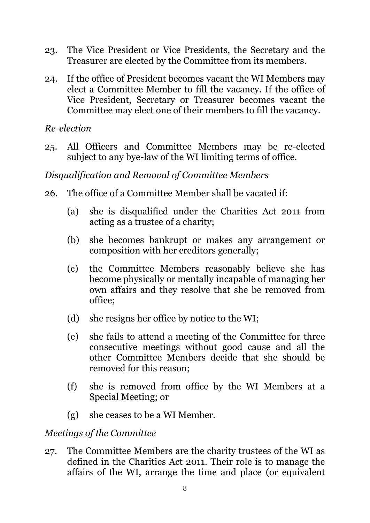- 23. The Vice President or Vice Presidents, the Secretary and the Treasurer are elected by the Committee from its members.
- 24. If the office of President becomes vacant the WI Members may elect a Committee Member to fill the vacancy. If the office of Vice President, Secretary or Treasurer becomes vacant the Committee may elect one of their members to fill the vacancy.

#### *Re-election*

<span id="page-8-1"></span>25. All Officers and Committee Members may be re-elected subject to any bye-law of the WI limiting terms of office.

## *Disqualification and Removal of Committee Members*

- <span id="page-8-0"></span>26. The office of a Committee Member shall be vacated if:
	- (a) she is disqualified under the Charities Act 2011 from acting as a trustee of a charity;
	- (b) she becomes bankrupt or makes any arrangement or composition with her creditors generally;
	- (c) the Committee Members reasonably believe she has become physically or mentally incapable of managing her own affairs and they resolve that she be removed from office;
	- (d) she resigns her office by notice to the WI;
	- (e) she fails to attend a meeting of the Committee for three consecutive meetings without good cause and all the other Committee Members decide that she should be removed for this reason;
	- (f) she is removed from office by the WI Members at a Special Meeting; or
	- (g) she ceases to be a WI Member.

#### *Meetings of the Committee*

27. The Committee Members are the charity trustees of the WI as defined in the Charities Act 2011. Their role is to manage the affairs of the WI, arrange the time and place (or equivalent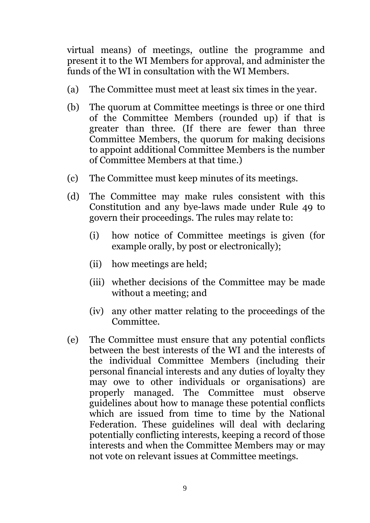virtual means) of meetings, outline the programme and present it to the WI Members for approval, and administer the funds of the WI in consultation with the WI Members.

- (a) The Committee must meet at least six times in the year.
- (b) The quorum at Committee meetings is three or one third of the Committee Members (rounded up) if that is greater than three. (If there are fewer than three Committee Members, the quorum for making decisions to appoint additional Committee Members is the number of Committee Members at that time.)
- (c) The Committee must keep minutes of its meetings.
- <span id="page-9-0"></span>(d) The Committee may make rules consistent with this Constitution and any bye-laws made under Rule [49](#page-15-0) to govern their proceedings. The rules may relate to:
	- (i) how notice of Committee meetings is given (for example orally, by post or electronically);
	- (ii) how meetings are held;
	- (iii) whether decisions of the Committee may be made without a meeting; and
	- (iv) any other matter relating to the proceedings of the Committee.
- <span id="page-9-1"></span>(e) The Committee must ensure that any potential conflicts between the best interests of the WI and the interests of the individual Committee Members (including their personal financial interests and any duties of loyalty they may owe to other individuals or organisations) are properly managed. The Committee must observe guidelines about how to manage these potential conflicts which are issued from time to time by the National Federation. These guidelines will deal with declaring potentially conflicting interests, keeping a record of those interests and when the Committee Members may or may not vote on relevant issues at Committee meetings.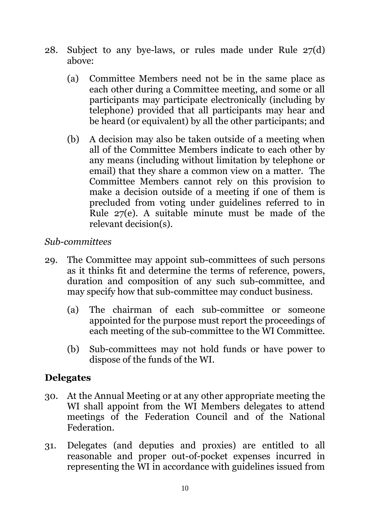- 28. Subject to any bye-laws, or rules made under Rule [27\(d\)](#page-9-0) above:
	- (a) Committee Members need not be in the same place as each other during a Committee meeting, and some or all participants may participate electronically (including by telephone) provided that all participants may hear and be heard (or equivalent) by all the other participants; and
	- (b) A decision may also be taken outside of a meeting when all of the Committee Members indicate to each other by any means (including without limitation by telephone or email) that they share a common view on a matter. The Committee Members cannot rely on this provision to make a decision outside of a meeting if one of them is precluded from voting under guidelines referred to in Rule [27\(e\).](#page-9-1) A suitable minute must be made of the relevant decision(s).

## *Sub-committees*

- 29. The Committee may appoint sub-committees of such persons as it thinks fit and determine the terms of reference, powers, duration and composition of any such sub-committee, and may specify how that sub-committee may conduct business.
	- (a) The chairman of each sub-committee or someone appointed for the purpose must report the proceedings of each meeting of the sub-committee to the WI Committee.
	- (b) Sub-committees may not hold funds or have power to dispose of the funds of the WI.

#### **Delegates**

- 30. At the Annual Meeting or at any other appropriate meeting the WI shall appoint from the WI Members delegates to attend meetings of the Federation Council and of the National Federation.
- 31. Delegates (and deputies and proxies) are entitled to all reasonable and proper out-of-pocket expenses incurred in representing the WI in accordance with guidelines issued from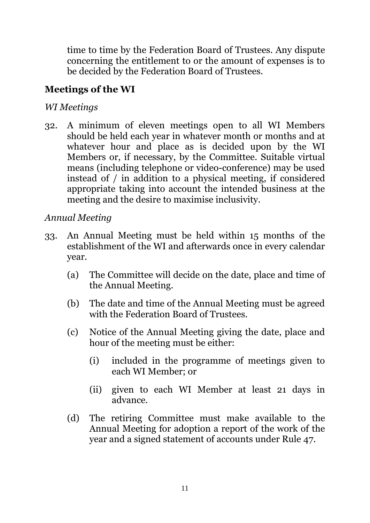time to time by the Federation Board of Trustees. Any dispute concerning the entitlement to or the amount of expenses is to be decided by the Federation Board of Trustees.

# **Meetings of the WI**

## *WI Meetings*

32. A minimum of eleven meetings open to all WI Members should be held each year in whatever month or months and at whatever hour and place as is decided upon by the WI Members or, if necessary, by the Committee. Suitable virtual means (including telephone or video-conference) may be used instead of / in addition to a physical meeting, if considered appropriate taking into account the intended business at the meeting and the desire to maximise inclusivity.

# *Annual Meeting*

- <span id="page-11-0"></span>33. An Annual Meeting must be held within 15 months of the establishment of the WI and afterwards once in every calendar year.
	- (a) The Committee will decide on the date, place and time of the Annual Meeting.
	- (b) The date and time of the Annual Meeting must be agreed with the Federation Board of Trustees.
	- (c) Notice of the Annual Meeting giving the date, place and hour of the meeting must be either:
		- (i) included in the programme of meetings given to each WI Member; or
		- (ii) given to each WI Member at least 21 days in advance.
	- (d) The retiring Committee must make available to the Annual Meeting for adoption a report of the work of the year and a signed statement of accounts under Rule [47.](#page-15-1)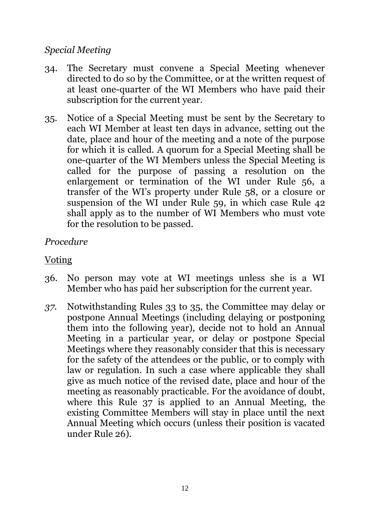#### *Special Meeting*

- <span id="page-12-2"></span>34. The Secretary must convene a Special Meeting whenever directed to do so by the Committee, or at the written request of at least one-quarter of the WI Members who have paid their subscription for the current year.
- <span id="page-12-0"></span>35. Notice of a Special Meeting must be sent by the Secretary to each WI Member at least ten days in advance, setting out the date, place and hour of the meeting and a note of the purpose for which it is called. A quorum for a Special Meeting shall be one-quarter of the WI Members unless the Special Meeting is called for the purpose of passing a resolution on the enlargement or termination of the WI under Rule [56,](#page-17-0) a transfer of the WI's property under Rule [58,](#page-18-0) or a closure or suspension of the WI under Rule [59,](#page-18-1) in which case Rule [42](#page-14-0) shall apply as to the number of WI Members who must vote for the resolution to be passed.

#### *Procedure*

#### Voting

- 36. No person may vote at WI meetings unless she is a WI Member who has paid her subscription for the current year.
- <span id="page-12-1"></span>*37.* Notwithstanding Rules [33](#page-11-0) to [35,](#page-12-0) the Committee may delay or postpone Annual Meetings (including delaying or postponing them into the following year), decide not to hold an Annual Meeting in a particular year, or delay or postpone Special Meetings where they reasonably consider that this is necessary for the safety of the attendees or the public, or to comply with law or regulation. In such a case where applicable they shall give as much notice of the revised date, place and hour of the meeting as reasonably practicable. For the avoidance of doubt, where this Rule [37](#page-12-1) is applied to an Annual Meeting, the existing Committee Members will stay in place until the next Annual Meeting which occurs (unless their position is vacated under Rule [26\)](#page-8-0).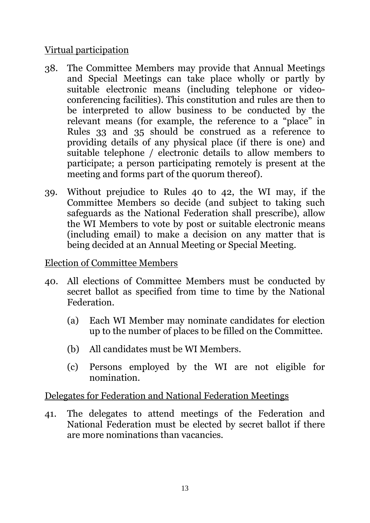## Virtual participation

- 38. The Committee Members may provide that Annual Meetings and Special Meetings can take place wholly or partly by suitable electronic means (including telephone or videoconferencing facilities). This constitution and rules are then to be interpreted to allow business to be conducted by the relevant means (for example, the reference to a "place" in Rules [33](#page-11-0) and [35](#page-12-0) should be construed as a reference to providing details of any physical place (if there is one) and suitable telephone / electronic details to allow members to participate; a person participating remotely is present at the meeting and forms part of the quorum thereof).
- 39. Without prejudice to Rules [40](#page-13-0) to [42,](#page-14-0) the WI may, if the Committee Members so decide (and subject to taking such safeguards as the National Federation shall prescribe), allow the WI Members to vote by post or suitable electronic means (including email) to make a decision on any matter that is being decided at an Annual Meeting or Special Meeting.

#### Election of Committee Members

- <span id="page-13-0"></span>40. All elections of Committee Members must be conducted by secret ballot as specified from time to time by the National Federation.
	- (a) Each WI Member may nominate candidates for election up to the number of places to be filled on the Committee.
	- (b) All candidates must be WI Members.
	- (c) Persons employed by the WI are not eligible for nomination.

## Delegates for Federation and National Federation Meetings

41. The delegates to attend meetings of the Federation and National Federation must be elected by secret ballot if there are more nominations than vacancies.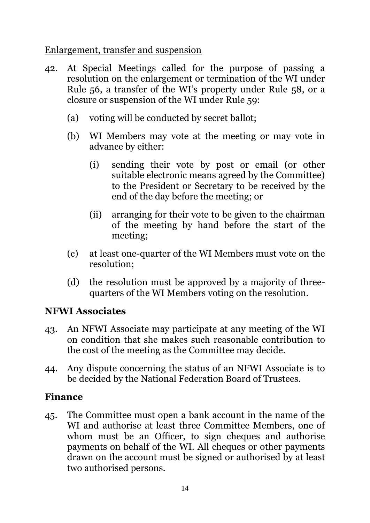Enlargement, transfer and suspension

- <span id="page-14-0"></span>42. At Special Meetings called for the purpose of passing a resolution on the enlargement or termination of the WI under Rule [56](#page-17-0), a transfer of the WI's property under Rule [58,](#page-18-0) or a closure or suspension of the WI under Rule [59:](#page-18-1)
	- (a) voting will be conducted by secret ballot;
	- (b) WI Members may vote at the meeting or may vote in advance by either:
		- (i) sending their vote by post or email (or other suitable electronic means agreed by the Committee) to the President or Secretary to be received by the end of the day before the meeting; or
		- (ii) arranging for their vote to be given to the chairman of the meeting by hand before the start of the meeting;
	- (c) at least one-quarter of the WI Members must vote on the resolution;
	- (d) the resolution must be approved by a majority of threequarters of the WI Members voting on the resolution.

## **NFWI Associates**

- 43. An NFWI Associate may participate at any meeting of the WI on condition that she makes such reasonable contribution to the cost of the meeting as the Committee may decide.
- 44. Any dispute concerning the status of an NFWI Associate is to be decided by the National Federation Board of Trustees.

# **Finance**

45. The Committee must open a bank account in the name of the WI and authorise at least three Committee Members, one of whom must be an Officer, to sign cheques and authorise payments on behalf of the WI. All cheques or other payments drawn on the account must be signed or authorised by at least two authorised persons.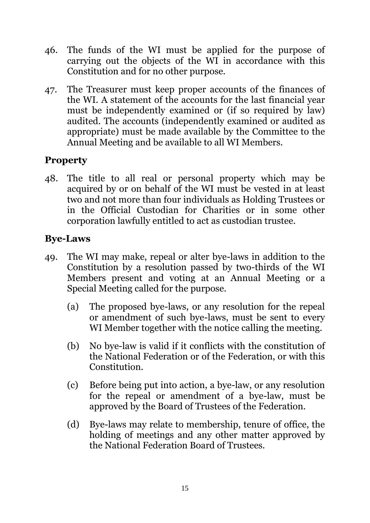- 46. The funds of the WI must be applied for the purpose of carrying out the objects of the WI in accordance with this Constitution and for no other purpose.
- <span id="page-15-1"></span>47. The Treasurer must keep proper accounts of the finances of the WI. A statement of the accounts for the last financial year must be independently examined or (if so required by law) audited. The accounts (independently examined or audited as appropriate) must be made available by the Committee to the Annual Meeting and be available to all WI Members.

# **Property**

48. The title to all real or personal property which may be acquired by or on behalf of the WI must be vested in at least two and not more than four individuals as Holding Trustees or in the Official Custodian for Charities or in some other corporation lawfully entitled to act as custodian trustee.

# **Bye-Laws**

- <span id="page-15-0"></span>49. The WI may make, repeal or alter bye-laws in addition to the Constitution by a resolution passed by two-thirds of the WI Members present and voting at an Annual Meeting or a Special Meeting called for the purpose.
	- (a) The proposed bye-laws, or any resolution for the repeal or amendment of such bye-laws, must be sent to every WI Member together with the notice calling the meeting.
	- (b) No bye-law is valid if it conflicts with the constitution of the National Federation or of the Federation, or with this Constitution.
	- (c) Before being put into action, a bye-law, or any resolution for the repeal or amendment of a bye-law, must be approved by the Board of Trustees of the Federation.
	- (d) Bye-laws may relate to membership, tenure of office, the holding of meetings and any other matter approved by the National Federation Board of Trustees.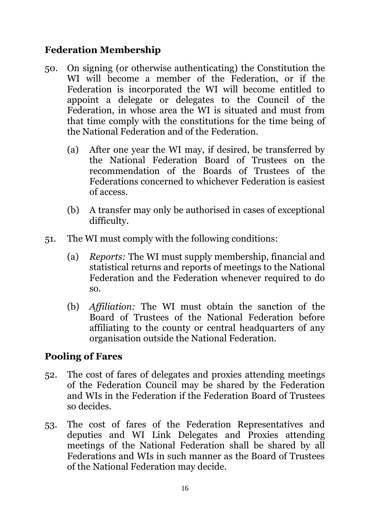# **Federation Membership**

- <span id="page-16-0"></span>50. On signing (or otherwise authenticating) the Constitution the WI will become a member of the Federation, or if the Federation is incorporated the WI will become entitled to appoint a delegate or delegates to the Council of the Federation, in whose area the WI is situated and must from that time comply with the constitutions for the time being of the National Federation and of the Federation.
	- (a) After one year the WI may, if desired, be transferred by the National Federation Board of Trustees on the recommendation of the Boards of Trustees of the Federations concerned to whichever Federation is easiest of access.
	- (b) A transfer may only be authorised in cases of exceptional difficulty.
- 51. The WI must comply with the following conditions:
	- (a) *Reports:* The WI must supply membership, financial and statistical returns and reports of meetings to the National Federation and the Federation whenever required to do so.
	- (b) *Affiliation:* The WI must obtain the sanction of the Board of Trustees of the National Federation before affiliating to the county or central headquarters of any organisation outside the National Federation.

# **Pooling of Fares**

- 52. The cost of fares of delegates and proxies attending meetings of the Federation Council may be shared by the Federation and WIs in the Federation if the Federation Board of Trustees so decides.
- 53. The cost of fares of the Federation Representatives and deputies and WI Link Delegates and Proxies attending meetings of the National Federation shall be shared by all Federations and WIs in such manner as the Board of Trustees of the National Federation may decide.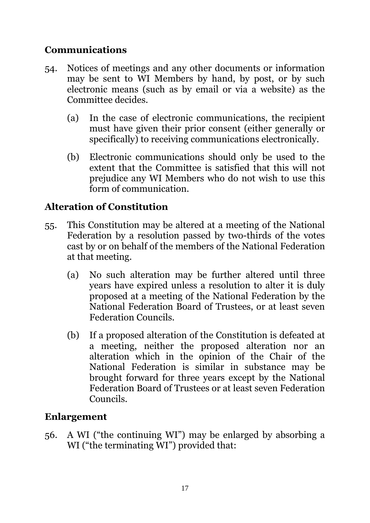# **Communications**

- 54. Notices of meetings and any other documents or information may be sent to WI Members by hand, by post, or by such electronic means (such as by email or via a website) as the Committee decides.
	- (a) In the case of electronic communications, the recipient must have given their prior consent (either generally or specifically) to receiving communications electronically.
	- (b) Electronic communications should only be used to the extent that the Committee is satisfied that this will not prejudice any WI Members who do not wish to use this form of communication.

# **Alteration of Constitution**

- 55. This Constitution may be altered at a meeting of the National Federation by a resolution passed by two-thirds of the votes cast by or on behalf of the members of the National Federation at that meeting.
	- (a) No such alteration may be further altered until three years have expired unless a resolution to alter it is duly proposed at a meeting of the National Federation by the National Federation Board of Trustees, or at least seven Federation Councils.
	- (b) If a proposed alteration of the Constitution is defeated at a meeting, neither the proposed alteration nor an alteration which in the opinion of the Chair of the National Federation is similar in substance may be brought forward for three years except by the National Federation Board of Trustees or at least seven Federation Councils.

## **Enlargement**

<span id="page-17-0"></span>56. A WI ("the continuing WI") may be enlarged by absorbing a WI ("the terminating WI") provided that: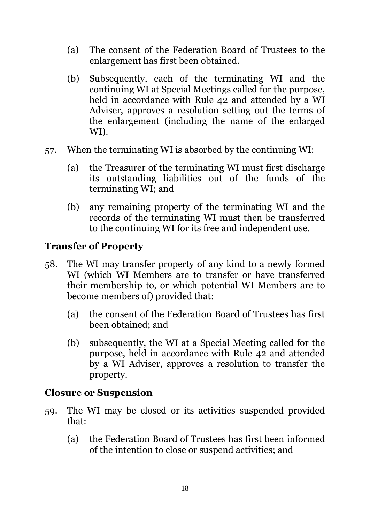- (a) The consent of the Federation Board of Trustees to the enlargement has first been obtained.
- (b) Subsequently, each of the terminating WI and the continuing WI at Special Meetings called for the purpose, held in accordance with Rule [42](#page-14-0) and attended by a WI Adviser, approves a resolution setting out the terms of the enlargement (including the name of the enlarged WI).
- 57. When the terminating WI is absorbed by the continuing WI:
	- (a) the Treasurer of the terminating WI must first discharge its outstanding liabilities out of the funds of the terminating WI; and
	- (b) any remaining property of the terminating WI and the records of the terminating WI must then be transferred to the continuing WI for its free and independent use.

# **Transfer of Property**

- <span id="page-18-0"></span>58. The WI may transfer property of any kind to a newly formed WI (which WI Members are to transfer or have transferred their membership to, or which potential WI Members are to become members of) provided that:
	- (a) the consent of the Federation Board of Trustees has first been obtained; and
	- (b) subsequently, the WI at a Special Meeting called for the purpose, held in accordance with Rule [42](#page-14-0) and attended by a WI Adviser, approves a resolution to transfer the property.

## **Closure or Suspension**

- <span id="page-18-1"></span>59. The WI may be closed or its activities suspended provided that:
	- (a) the Federation Board of Trustees has first been informed of the intention to close or suspend activities; and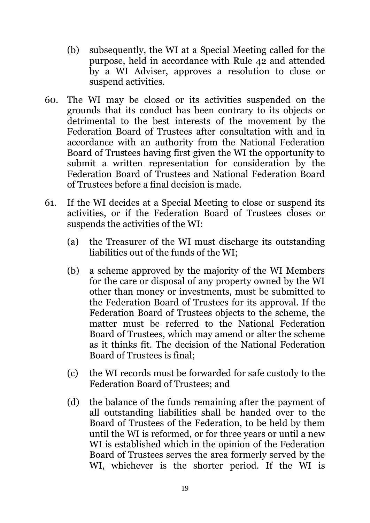- (b) subsequently, the WI at a Special Meeting called for the purpose, held in accordance with Rule [42](#page-14-0) and attended by a WI Adviser, approves a resolution to close or suspend activities.
- 60. The WI may be closed or its activities suspended on the grounds that its conduct has been contrary to its objects or detrimental to the best interests of the movement by the Federation Board of Trustees after consultation with and in accordance with an authority from the National Federation Board of Trustees having first given the WI the opportunity to submit a written representation for consideration by the Federation Board of Trustees and National Federation Board of Trustees before a final decision is made.
- 61. If the WI decides at a Special Meeting to close or suspend its activities, or if the Federation Board of Trustees closes or suspends the activities of the WI:
	- (a) the Treasurer of the WI must discharge its outstanding liabilities out of the funds of the WI;
	- (b) a scheme approved by the majority of the WI Members for the care or disposal of any property owned by the WI other than money or investments, must be submitted to the Federation Board of Trustees for its approval. If the Federation Board of Trustees objects to the scheme, the matter must be referred to the National Federation Board of Trustees, which may amend or alter the scheme as it thinks fit. The decision of the National Federation Board of Trustees is final;
	- (c) the WI records must be forwarded for safe custody to the Federation Board of Trustees; and
	- (d) the balance of the funds remaining after the payment of all outstanding liabilities shall be handed over to the Board of Trustees of the Federation, to be held by them until the WI is reformed, or for three years or until a new WI is established which in the opinion of the Federation Board of Trustees serves the area formerly served by the WI, whichever is the shorter period. If the WI is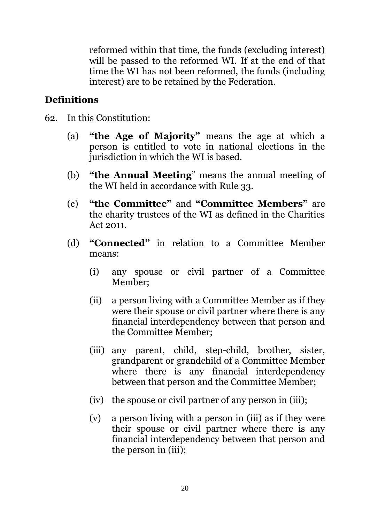reformed within that time, the funds (excluding interest) will be passed to the reformed WI. If at the end of that time the WI has not been reformed, the funds (including interest) are to be retained by the Federation.

## **Definitions**

- 62. In this Constitution:
	- (a) **"the Age of Majority"** means the age at which a person is entitled to vote in national elections in the jurisdiction in which the WI is based.
	- (b) **"the Annual Meeting**" means the annual meeting of the WI held in accordance with Rule [33.](#page-11-0)
	- (c) **"the Committee"** and **"Committee Members"** are the charity trustees of the WI as defined in the Charities Act 2011.
	- (d) **"Connected"** in relation to a Committee Member means:
		- (i) any spouse or civil partner of a Committee Member;
		- (ii) a person living with a Committee Member as if they were their spouse or civil partner where there is any financial interdependency between that person and the Committee Member;
		- (iii) any parent, child, step-child, brother, sister, grandparent or grandchild of a Committee Member where there is any financial interdependency between that person and the Committee Member;
		- (iv) the spouse or civil partner of any person in (iii);
		- (v) a person living with a person in (iii) as if they were their spouse or civil partner where there is any financial interdependency between that person and the person in (iii);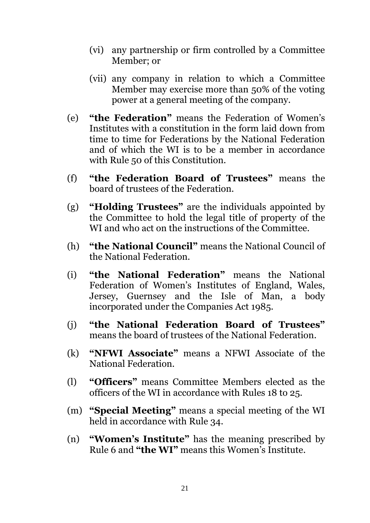- (vi) any partnership or firm controlled by a Committee Member; or
- (vii) any company in relation to which a Committee Member may exercise more than 50% of the voting power at a general meeting of the company.
- (e) **"the Federation"** means the Federation of Women's Institutes with a constitution in the form laid down from time to time for Federations by the National Federation and of which the WI is to be a member in accordance with Rule [50](#page-16-0) of this Constitution.
- (f) **"the Federation Board of Trustees"** means the board of trustees of the Federation.
- (g) **"Holding Trustees"** are the individuals appointed by the Committee to hold the legal title of property of the WI and who act on the instructions of the Committee.
- (h) **"the National Council"** means the National Council of the National Federation.
- (i) **"the National Federation"** means the National Federation of Women's Institutes of England, Wales, Jersey, Guernsey and the Isle of Man, a body incorporated under the Companies Act 1985.
- (j) **"the National Federation Board of Trustees"** means the board of trustees of the National Federation.
- (k) **"NFWI Associate"** means a NFWI Associate of the National Federation.
- (l) **"Officers"** means Committee Members elected as the officers of the WI in accordance with Rules [18](#page-7-2) to [25.](#page-8-1)
- (m) **"Special Meeting"** means a special meeting of the WI held in accordance with Rule [34.](#page-12-2)
- (n) **"Women's Institute"** has the meaning prescribed by Rule [6](#page-2-0) and **"the WI"** means this Women's Institute.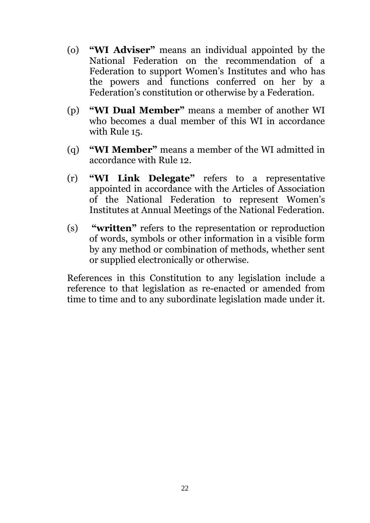- (o) **"WI Adviser"** means an individual appointed by the National Federation on the recommendation of a Federation to support Women's Institutes and who has the powers and functions conferred on her by a Federation's constitution or otherwise by a Federation.
- (p) **"WI Dual Member"** means a member of another WI who becomes a dual member of this WI in accordance with Rule [15.](#page-6-0)
- (q) **"WI Member"** means a member of the WI admitted in accordance with Rule [12.](#page-5-1)
- (r) **"WI Link Delegate"** refers to a representative appointed in accordance with the Articles of Association of the National Federation to represent Women's Institutes at Annual Meetings of the National Federation.
- (s) **"written"** refers to the representation or reproduction of words, symbols or other information in a visible form by any method or combination of methods, whether sent or supplied electronically or otherwise.

References in this Constitution to any legislation include a reference to that legislation as re-enacted or amended from time to time and to any subordinate legislation made under it.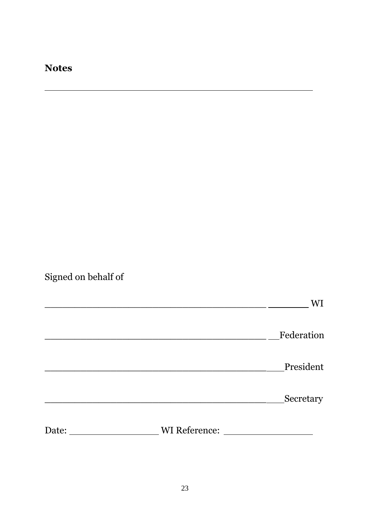# **Notes**

Signed on behalf of

|       |               | WI                                            |
|-------|---------------|-----------------------------------------------|
|       |               | Federation                                    |
|       |               | President                                     |
|       |               | Secretary                                     |
| Date: | WI Reference: | <u> 1989 - Johann Barnett, fransk kongres</u> |